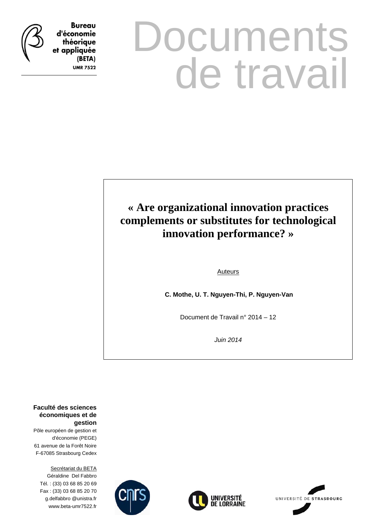**Bureau** d'économie théorique et appliquée

> (BETA) **UMR 7522**

# **Documents** de travail

## **« Are organizational innovation practices complements or substitutes for technological innovation performance? »**

Auteurs

 **C. Mothe, U. T. Nguyen-Thi, P. Nguyen-Van** 

Document de Travail n° 2014 – 12

*Juin 2014* 

**Faculté des sciences économiques et de gestion**

Pôle européen de gestion et d'économie (PEGE) 61 avenue de la Forêt Noire F-67085 Strasbourg Cedex

Secrétariat du BETA Géraldine Del Fabbro Tél. : (33) 03 68 85 20 69 Fax : (33) 03 68 85 20 70 g.delfabbro @unistra.fr www.beta-umr7522.fr





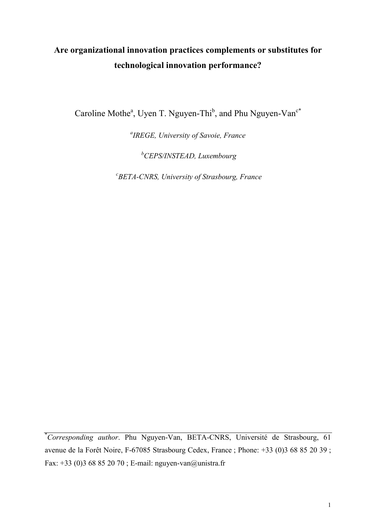## **Are organizational innovation practices complements or substitutes for technological innovation performance?**

Caroline Mothe<sup>a</sup>, Uyen T. Nguyen-Thi<sup>b</sup>, and Phu Nguyen-Van<sup>c\*</sup>

*a IREGE, University of Savoie, France*

*<sup>b</sup>CEPS/INSTEAD, Luxembourg*

*c BETA-CNRS, University of Strasbourg, France*

\**Corresponding author*. Phu Nguyen-Van, BETA-CNRS, Université de Strasbourg, 61 avenue de la Forêt Noire, F-67085 Strasbourg Cedex, France ; Phone: +33 (0)3 68 85 20 39 ; Fax: +33 (0)3 68 85 20 70 ; E-mail: nguyen-van@unistra.fr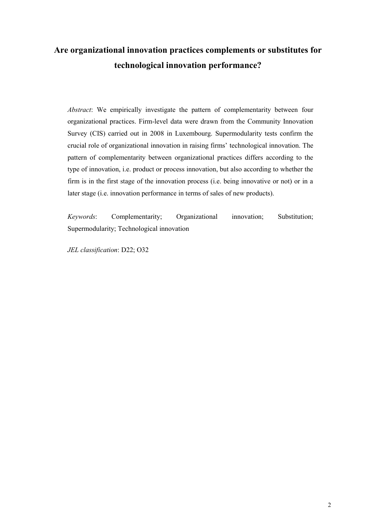## **Are organizational innovation practices complements or substitutes for technological innovation performance?**

*Abstract*: We empirically investigate the pattern of complementarity between four organizational practices. Firm-level data were drawn from the Community Innovation Survey (CIS) carried out in 2008 in Luxembourg. Supermodularity tests confirm the crucial role of organizational innovation in raising firms' technological innovation. The pattern of complementarity between organizational practices differs according to the type of innovation, i.e. product or process innovation, but also according to whether the firm is in the first stage of the innovation process (i.e. being innovative or not) or in a later stage (i.e. innovation performance in terms of sales of new products).

*Keywords*: Complementarity; Organizational innovation; Substitution; Supermodularity; Technological innovation

*JEL classification*: D22; O32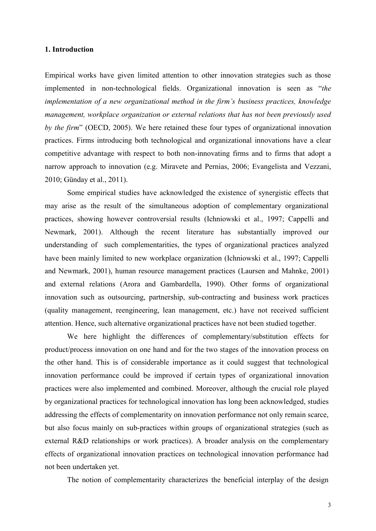#### **1. Introduction**

Empirical works have given limited attention to other innovation strategies such as those implemented in non-technological fields. Organizational innovation is seen as "*the implementation of a new organizational method in the firm's business practices, knowledge management, workplace organization or external relations that has not been previously used by the firm*" (OECD, 2005). We here retained these four types of organizational innovation practices. Firms introducing both technological and organizational innovations have a clear competitive advantage with respect to both non-innovating firms and to firms that adopt a narrow approach to innovation (e.g. Miravete and Pernias, 2006; Evangelista and Vezzani, 2010; Günday et al., 2011).

Some empirical studies have acknowledged the existence of synergistic effects that may arise as the result of the simultaneous adoption of complementary organizational practices, showing however controversial results (Ichniowski et al., 1997; Cappelli and Newmark, 2001). Although the recent literature has substantially improved our understanding of such complementarities, the types of organizational practices analyzed have been mainly limited to new workplace organization (Ichniowski et al., 1997; Cappelli and Newmark, 2001), human resource management practices (Laursen and Mahnke, 2001) and external relations (Arora and Gambardella, 1990). Other forms of organizational innovation such as outsourcing, partnership, sub-contracting and business work practices (quality management, reengineering, lean management, etc.) have not received sufficient attention. Hence, such alternative organizational practices have not been studied together.

We here highlight the differences of complementary/substitution effects for product/process innovation on one hand and for the two stages of the innovation process on the other hand. This is of considerable importance as it could suggest that technological innovation performance could be improved if certain types of organizational innovation practices were also implemented and combined. Moreover, although the crucial role played by organizational practices for technological innovation has long been acknowledged, studies addressing the effects of complementarity on innovation performance not only remain scarce, but also focus mainly on sub-practices within groups of organizational strategies (such as external R&D relationships or work practices). A broader analysis on the complementary effects of organizational innovation practices on technological innovation performance had not been undertaken yet.

The notion of complementarity characterizes the beneficial interplay of the design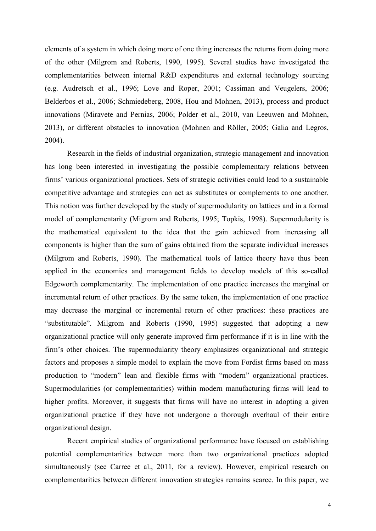elements of a system in which doing more of one thing increases the returns from doing more of the other (Milgrom and Roberts, 1990, 1995). Several studies have investigated the complementarities between internal R&D expenditures and external technology sourcing (e.g. Audretsch et al., 1996; Love and Roper, 2001; Cassiman and Veugelers, 2006; Belderbos et al., 2006; Schmiedeberg, 2008, Hou and Mohnen, 2013), process and product innovations (Miravete and Pernias, 2006; Polder et al., 2010, van Leeuwen and Mohnen, 2013), or different obstacles to innovation (Mohnen and Röller, 2005; Galia and Legros, 2004).

Research in the fields of industrial organization, strategic management and innovation has long been interested in investigating the possible complementary relations between firms' various organizational practices. Sets of strategic activities could lead to a sustainable competitive advantage and strategies can act as substitutes or complements to one another. This notion was further developed by the study of supermodularity on lattices and in a formal model of complementarity (Migrom and Roberts, 1995; Topkis, 1998). Supermodularity is the mathematical equivalent to the idea that the gain achieved from increasing all components is higher than the sum of gains obtained from the separate individual increases (Milgrom and Roberts, 1990). The mathematical tools of lattice theory have thus been applied in the economics and management fields to develop models of this so-called Edgeworth complementarity. The implementation of one practice increases the marginal or incremental return of other practices. By the same token, the implementation of one practice may decrease the marginal or incremental return of other practices: these practices are "substitutable". Milgrom and Roberts (1990, 1995) suggested that adopting a new organizational practice will only generate improved firm performance if it is in line with the firm's other choices. The supermodularity theory emphasizes organizational and strategic factors and proposes a simple model to explain the move from Fordist firms based on mass production to "modern" lean and flexible firms with "modern" organizational practices. Supermodularities (or complementarities) within modern manufacturing firms will lead to higher profits. Moreover, it suggests that firms will have no interest in adopting a given organizational practice if they have not undergone a thorough overhaul of their entire organizational design.

Recent empirical studies of organizational performance have focused on establishing potential complementarities between more than two organizational practices adopted simultaneously (see Carree et al., 2011, for a review). However, empirical research on complementarities between different innovation strategies remains scarce. In this paper, we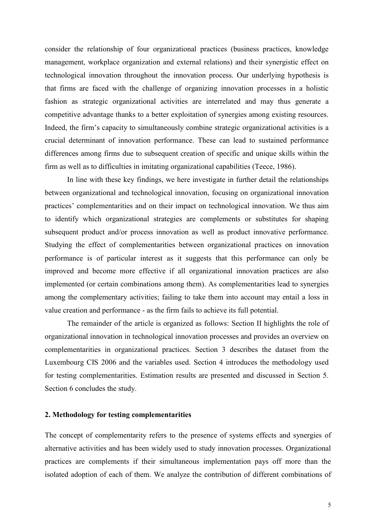consider the relationship of four organizational practices (business practices, knowledge management, workplace organization and external relations) and their synergistic effect on technological innovation throughout the innovation process. Our underlying hypothesis is that firms are faced with the challenge of organizing innovation processes in a holistic fashion as strategic organizational activities are interrelated and may thus generate a competitive advantage thanks to a better exploitation of synergies among existing resources. Indeed, the firm's capacity to simultaneously combine strategic organizational activities is a crucial determinant of innovation performance. These can lead to sustained performance differences among firms due to subsequent creation of specific and unique skills within the firm as well as to difficulties in imitating organizational capabilities (Teece, 1986).

In line with these key findings, we here investigate in further detail the relationships between organizational and technological innovation, focusing on organizational innovation practices' complementarities and on their impact on technological innovation. We thus aim to identify which organizational strategies are complements or substitutes for shaping subsequent product and/or process innovation as well as product innovative performance. Studying the effect of complementarities between organizational practices on innovation performance is of particular interest as it suggests that this performance can only be improved and become more effective if all organizational innovation practices are also implemented (or certain combinations among them). As complementarities lead to synergies among the complementary activities; failing to take them into account may entail a loss in value creation and performance - as the firm fails to achieve its full potential.

The remainder of the article is organized as follows: Section II highlights the role of organizational innovation in technological innovation processes and provides an overview on complementarities in organizational practices. Section 3 describes the dataset from the Luxembourg CIS 2006 and the variables used. Section 4 introduces the methodology used for testing complementarities. Estimation results are presented and discussed in Section 5. Section 6 concludes the study.

#### **2. Methodology for testing complementarities**

The concept of complementarity refers to the presence of systems effects and synergies of alternative activities and has been widely used to study innovation processes. Organizational practices are complements if their simultaneous implementation pays off more than the isolated adoption of each of them. We analyze the contribution of different combinations of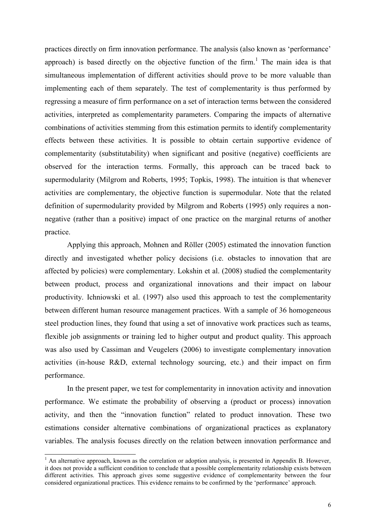practices directly on firm innovation performance. The analysis (also known as 'performance' approach) is based directly on the objective function of the firm.<sup>1</sup> The main idea is that simultaneous implementation of different activities should prove to be more valuable than implementing each of them separately. The test of complementarity is thus performed by regressing a measure of firm performance on a set of interaction terms between the considered activities, interpreted as complementarity parameters. Comparing the impacts of alternative combinations of activities stemming from this estimation permits to identify complementarity effects between these activities. It is possible to obtain certain supportive evidence of complementarity (substitutability) when significant and positive (negative) coefficients are observed for the interaction terms. Formally, this approach can be traced back to supermodularity (Milgrom and Roberts, 1995; Topkis, 1998). The intuition is that whenever activities are complementary, the objective function is supermodular. Note that the related definition of supermodularity provided by Milgrom and Roberts (1995) only requires a nonnegative (rather than a positive) impact of one practice on the marginal returns of another practice.

Applying this approach, Mohnen and Röller (2005) estimated the innovation function directly and investigated whether policy decisions (i.e. obstacles to innovation that are affected by policies) were complementary. Lokshin et al. (2008) studied the complementarity between product, process and organizational innovations and their impact on labour productivity. Ichniowski et al. (1997) also used this approach to test the complementarity between different human resource management practices. With a sample of 36 homogeneous steel production lines, they found that using a set of innovative work practices such as teams, flexible job assignments or training led to higher output and product quality. This approach was also used by Cassiman and Veugelers (2006) to investigate complementary innovation activities (in-house R&D, external technology sourcing, etc.) and their impact on firm performance.

In the present paper, we test for complementarity in innovation activity and innovation performance. We estimate the probability of observing a (product or process) innovation activity, and then the "innovation function" related to product innovation. These two estimations consider alternative combinations of organizational practices as explanatory variables. The analysis focuses directly on the relation between innovation performance and

l

 $<sup>1</sup>$  An alternative approach, known as the correlation or adoption analysis, is presented in Appendix B. However,</sup> it does not provide a sufficient condition to conclude that a possible complementarity relationship exists between different activities. This approach gives some suggestive evidence of complementarity between the four considered organizational practices. This evidence remains to be confirmed by the 'performance' approach.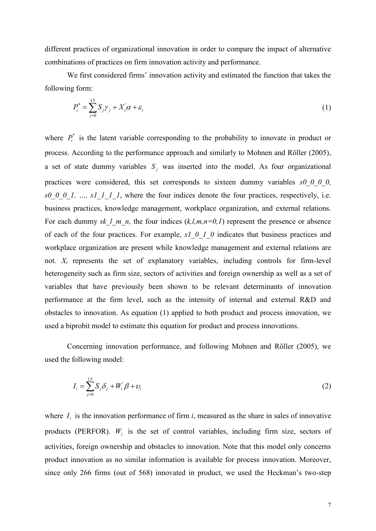different practices of organizational innovation in order to compare the impact of alternative combinations of practices on firm innovation activity and performance.

We first considered firms' innovation activity and estimated the function that takes the following form:

$$
P_i^* = \sum_{j=0}^{15} S_j \gamma_j + X_i^* \alpha + \varepsilon_i \tag{1}
$$

where  $P_i^*$  is the latent variable corresponding to the probability to innovate in product or process. According to the performance approach and similarly to Mohnen and Röller (2005), a set of state dummy variables  $S_j$  was inserted into the model. As four organizational practices were considered, this set corresponds to sixteen dummy variables *s0\_0\_0\_0, s0\_0\_0\_1, …, s1\_1\_1\_1*, where the four indices denote the four practices, respectively, i.e. business practices, knowledge management, workplace organization, and external relations. For each dummy *sk l m n,* the four indices  $(k, l, m, n=0, 1)$  represent the presence or absence of each of the four practices. For example, *s1\_0\_1\_0* indicates that business practices and workplace organization are present while knowledge management and external relations are not. *X<sup>i</sup>* represents the set of explanatory variables, including controls for firm-level heterogeneity such as firm size, sectors of activities and foreign ownership as well as a set of variables that have previously been shown to be relevant determinants of innovation performance at the firm level, such as the intensity of internal and external R&D and obstacles to innovation. As equation (1) applied to both product and process innovation, we used a biprobit model to estimate this equation for product and process innovations.

Concerning innovation performance, and following Mohnen and Röller (2005), we used the following model:

$$
I_i = \sum_{j=0}^{15} S_j \delta_j + W_i' \beta + \nu_i
$$
 (2)

where  $I_i$  is the innovation performance of firm *i*, measured as the share in sales of innovative products (PERFOR).  $W_i$  is the set of control variables, including firm size, sectors of activities, foreign ownership and obstacles to innovation. Note that this model only concerns product innovation as no similar information is available for process innovation. Moreover, since only 266 firms (out of 568) innovated in product, we used the Heckman's two-step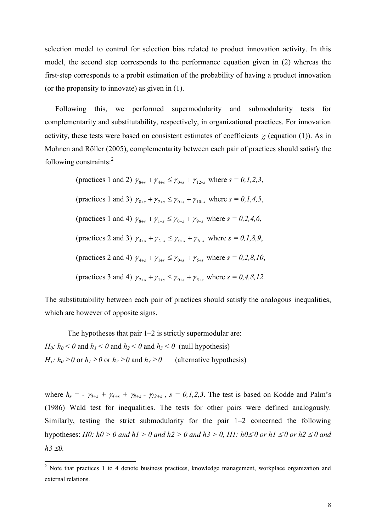selection model to control for selection bias related to product innovation activity. In this model, the second step corresponds to the performance equation given in (2) whereas the first-step corresponds to a probit estimation of the probability of having a product innovation (or the propensity to innovate) as given in (1).

Following this, we performed supermodularity and submodularity tests for complementarity and substitutability, respectively, in organizational practices. For innovation activity, these tests were based on consistent estimates of coefficients  $\gamma$  (equation (1)). As in Mohnen and Röller (2005), complementarity between each pair of practices should satisfy the following constraints: $2^2$ 

> (practices 1 and 2)  $\gamma_{8+s} + \gamma_{4+s} \leq \gamma_{0+s} + \gamma_{12+s}$  where  $s = 0, 1, 2, 3$ , (practices 1 and 3)  $\gamma_{8+s} + \gamma_{2+s} \leq \gamma_{0+s} + \gamma_{10+s}$  where  $s = 0, 1, 4, 5$ , (practices 1 and 4)  $\gamma_{8+s} + \gamma_{1+s} \leq \gamma_{0+s} + \gamma_{9+s}$  where  $s = 0, 2, 4, 6$ , (practices 2 and 3)  $\gamma_{4+s} + \gamma_{2+s} \leq \gamma_{0+s} + \gamma_{6+s}$  where  $s = 0, 1, 8, 9$ , (practices 2 and 4)  $\gamma_{4+s} + \gamma_{1+s} \leq \gamma_{0+s} + \gamma_{5+s}$  where  $s = 0, 2, 8, 10$ , (practices 3 and 4)  $\gamma_{2+s} + \gamma_{1+s} \leq \gamma_{0+s} + \gamma_{3+s}$  where  $s = 0, 4, 8, 12$ .

The substitutability between each pair of practices should satisfy the analogous inequalities, which are however of opposite signs.

The hypotheses that pair 1–2 is strictly supermodular are: *H*<sub>0</sub>:  $h_0 < 0$  and  $h_1 < 0$  and  $h_2 < 0$  and  $h_3 < 0$  (null hypothesis) *H*<sub>1</sub>:  $h_0 \ge 0$  or  $h_1 \ge 0$  or  $h_2 \ge 0$  and  $h_3 \ge 0$  (alternative hypothesis)

 $\overline{a}$ 

where  $h_s = -\gamma_{0+s} + \gamma_{4+s} + \gamma_{8+s} - \gamma_{12+s}$ ,  $s = 0,1,2,3$ . The test is based on Kodde and Palm's (1986) Wald test for inequalities. The tests for other pairs were defined analogously. Similarly, testing the strict submodularity for the pair 1–2 concerned the following hypotheses: *H0:*  $h0 > 0$  and  $h1 > 0$  and  $h2 > 0$  and  $h3 > 0$ , *H1:*  $h0 \le 0$  or  $h1 \le 0$  or  $h2 \le 0$  and  $h3 \triangleleft 0$ .

 $2$  Note that practices 1 to 4 denote business practices, knowledge management, workplace organization and external relations.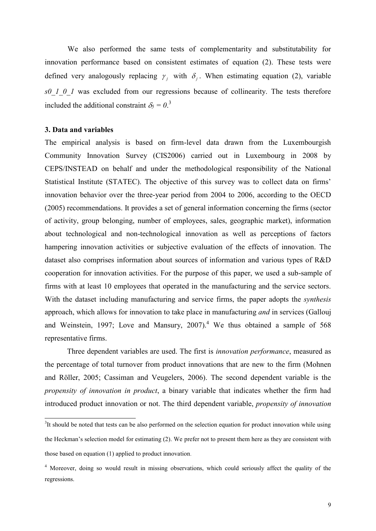We also performed the same tests of complementarity and substitutability for innovation performance based on consistent estimates of equation (2). These tests were defined very analogously replacing  $\gamma_j$  with  $\delta_j$ . When estimating equation (2), variable *s0\_1\_0\_1* was excluded from our regressions because of collinearity. The tests therefore included the additional constraint  $\delta_5 = 0.3$ 

#### **3. Data and variables**

 $\overline{a}$ 

The empirical analysis is based on firm-level data drawn from the Luxembourgish Community Innovation Survey (CIS2006) carried out in Luxembourg in 2008 by CEPS/INSTEAD on behalf and under the methodological responsibility of the National Statistical Institute (STATEC). The objective of this survey was to collect data on firms' innovation behavior over the three-year period from 2004 to 2006, according to the OECD (2005) recommendations. It provides a set of general information concerning the firms (sector of activity, group belonging, number of employees, sales, geographic market), information about technological and non-technological innovation as well as perceptions of factors hampering innovation activities or subjective evaluation of the effects of innovation. The dataset also comprises information about sources of information and various types of R&D cooperation for innovation activities. For the purpose of this paper, we used a sub-sample of firms with at least 10 employees that operated in the manufacturing and the service sectors. With the dataset including manufacturing and service firms, the paper adopts the *synthesis*  approach, which allows for innovation to take place in manufacturing *and* in services (Gallouj and Weinstein, 1997; Love and Mansury,  $2007$ .<sup>4</sup> We thus obtained a sample of 568 representative firms.

Three dependent variables are used. The first is *innovation performance*, measured as the percentage of total turnover from product innovations that are new to the firm (Mohnen and Röller, 2005; Cassiman and Veugelers, 2006). The second dependent variable is the *propensity of innovation in product*, a binary variable that indicates whether the firm had introduced product innovation or not. The third dependent variable, *propensity of innovation* 

 $3$ It should be noted that tests can be also performed on the selection equation for product innovation while using the Heckman's selection model for estimating (2). We prefer not to present them here as they are consistent with those based on equation (1) applied to product innovation.

<sup>4</sup> Moreover, doing so would result in missing observations, which could seriously affect the quality of the regressions.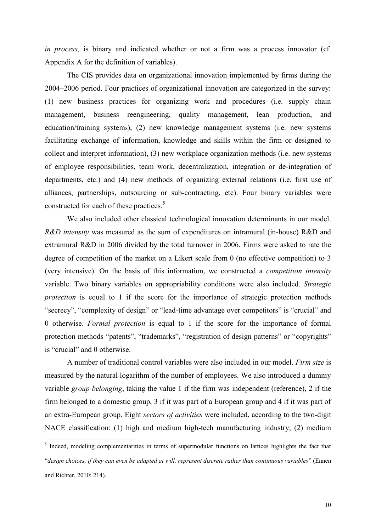*in process,* is binary and indicated whether or not a firm was a process innovator (cf. Appendix A for the definition of variables).

The CIS provides data on organizational innovation implemented by firms during the 2004–2006 period. Four practices of organizational innovation are categorized in the survey: (1) new business practices for organizing work and procedures (i.e. supply chain management, business reengineering, quality management, lean production, and education/training systems), (2) new knowledge management systems (i.e. new systems facilitating exchange of information, knowledge and skills within the firm or designed to collect and interpret information), (3) new workplace organization methods (i.e. new systems of employee responsibilities, team work, decentralization, integration or de-integration of departments, etc.) and (4) new methods of organizing external relations (i.e. first use of alliances, partnerships, outsourcing or sub-contracting, etc). Four binary variables were constructed for each of these practices.<sup>5</sup>

We also included other classical technological innovation determinants in our model. *R&D intensity* was measured as the sum of expenditures on intramural (in-house) R&D and extramural R&D in 2006 divided by the total turnover in 2006. Firms were asked to rate the degree of competition of the market on a Likert scale from 0 (no effective competition) to 3 (very intensive). On the basis of this information, we constructed a *competition intensity* variable. Two binary variables on appropriability conditions were also included. *Strategic protection* is equal to 1 if the score for the importance of strategic protection methods "secrecy", "complexity of design" or "lead-time advantage over competitors" is "crucial" and 0 otherwise. *Formal protection* is equal to 1 if the score for the importance of formal protection methods "patents", "trademarks", "registration of design patterns" or "copyrights" is "crucial" and 0 otherwise.

A number of traditional control variables were also included in our model. *Firm size* is measured by the natural logarithm of the number of employees. We also introduced a dummy variable *group belonging*, taking the value 1 if the firm was independent (reference), 2 if the firm belonged to a domestic group, 3 if it was part of a European group and 4 if it was part of an extra-European group. Eight *sectors of activities* were included, according to the two-digit NACE classification: (1) high and medium high-tech manufacturing industry; (2) medium

<sup>&</sup>lt;sup>5</sup> Indeed, modeling complementarities in terms of supermodular functions on lattices highlights the fact that "*design choices, if they can even be adapted at will, represent discrete rather than continuous variables*" (Ennen and Richter, 2010: 214).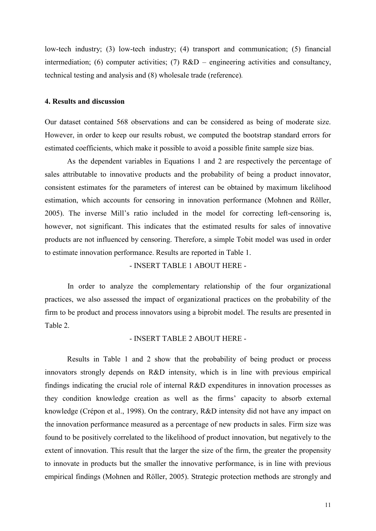low-tech industry; (3) low-tech industry; (4) transport and communication; (5) financial intermediation; (6) computer activities; (7)  $R&D$  – engineering activities and consultancy, technical testing and analysis and (8) wholesale trade (reference)*.* 

#### **4. Results and discussion**

Our dataset contained 568 observations and can be considered as being of moderate size. However, in order to keep our results robust, we computed the bootstrap standard errors for estimated coefficients, which make it possible to avoid a possible finite sample size bias.

As the dependent variables in Equations 1 and 2 are respectively the percentage of sales attributable to innovative products and the probability of being a product innovator, consistent estimates for the parameters of interest can be obtained by maximum likelihood estimation, which accounts for censoring in innovation performance (Mohnen and Röller, 2005). The inverse Mill's ratio included in the model for correcting left-censoring is, however, not significant. This indicates that the estimated results for sales of innovative products are not influenced by censoring. Therefore, a simple Tobit model was used in order to estimate innovation performance. Results are reported in Table 1.

- INSERT TABLE 1 ABOUT HERE -

In order to analyze the complementary relationship of the four organizational practices, we also assessed the impact of organizational practices on the probability of the firm to be product and process innovators using a biprobit model. The results are presented in Table 2.

#### - INSERT TABLE 2 ABOUT HERE -

Results in Table 1 and 2 show that the probability of being product or process innovators strongly depends on R&D intensity, which is in line with previous empirical findings indicating the crucial role of internal R&D expenditures in innovation processes as they condition knowledge creation as well as the firms' capacity to absorb external knowledge (Crépon et al., 1998). On the contrary, R&D intensity did not have any impact on the innovation performance measured as a percentage of new products in sales. Firm size was found to be positively correlated to the likelihood of product innovation, but negatively to the extent of innovation. This result that the larger the size of the firm, the greater the propensity to innovate in products but the smaller the innovative performance, is in line with previous empirical findings (Mohnen and Röller, 2005). Strategic protection methods are strongly and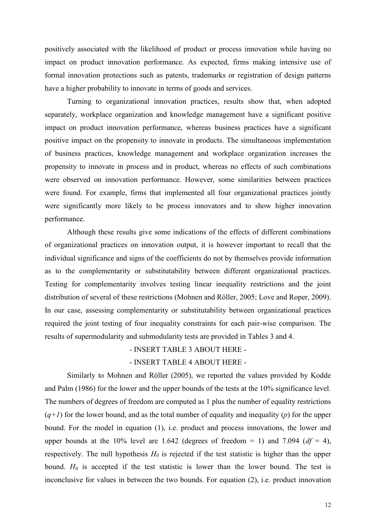positively associated with the likelihood of product or process innovation while having no impact on product innovation performance. As expected, firms making intensive use of formal innovation protections such as patents, trademarks or registration of design patterns have a higher probability to innovate in terms of goods and services.

Turning to organizational innovation practices, results show that, when adopted separately, workplace organization and knowledge management have a significant positive impact on product innovation performance, whereas business practices have a significant positive impact on the propensity to innovate in products. The simultaneous implementation of business practices, knowledge management and workplace organization increases the propensity to innovate in process and in product, whereas no effects of such combinations were observed on innovation performance. However, some similarities between practices were found. For example, firms that implemented all four organizational practices jointly were significantly more likely to be process innovators and to show higher innovation performance.

Although these results give some indications of the effects of different combinations of organizational practices on innovation output, it is however important to recall that the individual significance and signs of the coefficients do not by themselves provide information as to the complementarity or substitutability between different organizational practices. Testing for complementarity involves testing linear inequality restrictions and the joint distribution of several of these restrictions (Mohnen and Röller, 2005; Love and Roper, 2009). In our case, assessing complementarity or substitutability between organizational practices required the joint testing of four inequality constraints for each pair-wise comparison. The results of supermodularity and submodularity tests are provided in Tables 3 and 4.

#### - INSERT TABLE 3 ABOUT HERE -

#### - INSERT TABLE 4 ABOUT HERE -

Similarly to Mohnen and Röller (2005), we reported the values provided by Kodde and Palm (1986) for the lower and the upper bounds of the tests at the 10% significance level. The numbers of degrees of freedom are computed as 1 plus the number of equality restrictions  $(q+1)$  for the lower bound, and as the total number of equality and inequality (*p*) for the upper bound. For the model in equation (1), i.e. product and process innovations, the lower and upper bounds at the 10% level are 1.642 (degrees of freedom  $= 1$ ) and 7.094 ( $df = 4$ ), respectively. The null hypothesis  $H_0$  is rejected if the test statistic is higher than the upper bound.  $H_0$  is accepted if the test statistic is lower than the lower bound. The test is inconclusive for values in between the two bounds. For equation (2), i.e. product innovation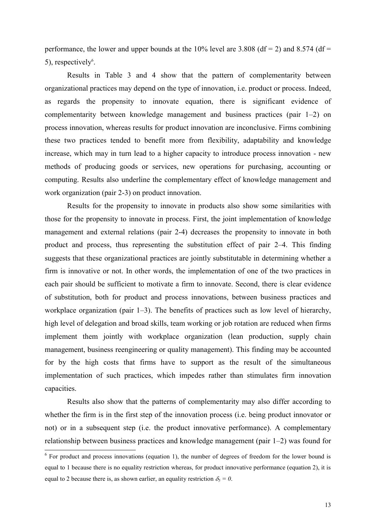performance, the lower and upper bounds at the 10% level are 3.808 (df = 2) and 8.574 (df =  $5$ ), respectively<sup>6</sup>.

Results in Table 3 and 4 show that the pattern of complementarity between organizational practices may depend on the type of innovation, i.e. product or process. Indeed, as regards the propensity to innovate equation, there is significant evidence of complementarity between knowledge management and business practices (pair 1–2) on process innovation, whereas results for product innovation are inconclusive. Firms combining these two practices tended to benefit more from flexibility, adaptability and knowledge increase, which may in turn lead to a higher capacity to introduce process innovation - new methods of producing goods or services, new operations for purchasing, accounting or computing. Results also underline the complementary effect of knowledge management and work organization (pair 2-3) on product innovation.

Results for the propensity to innovate in products also show some similarities with those for the propensity to innovate in process. First, the joint implementation of knowledge management and external relations (pair 2-4) decreases the propensity to innovate in both product and process, thus representing the substitution effect of pair 2–4. This finding suggests that these organizational practices are jointly substitutable in determining whether a firm is innovative or not. In other words, the implementation of one of the two practices in each pair should be sufficient to motivate a firm to innovate. Second, there is clear evidence of substitution, both for product and process innovations, between business practices and workplace organization (pair 1–3). The benefits of practices such as low level of hierarchy, high level of delegation and broad skills, team working or job rotation are reduced when firms implement them jointly with workplace organization (lean production, supply chain management, business reengineering or quality management). This finding may be accounted for by the high costs that firms have to support as the result of the simultaneous implementation of such practices, which impedes rather than stimulates firm innovation capacities.

Results also show that the patterns of complementarity may also differ according to whether the firm is in the first step of the innovation process (i.e. being product innovator or not) or in a subsequent step (i.e. the product innovative performance). A complementary relationship between business practices and knowledge management (pair 1–2) was found for

<sup>&</sup>lt;sup>6</sup> For product and process innovations (equation 1), the number of degrees of freedom for the lower bound is equal to 1 because there is no equality restriction whereas, for product innovative performance (equation 2), it is equal to 2 because there is, as shown earlier, an equality restriction  $\delta_5 = 0$ .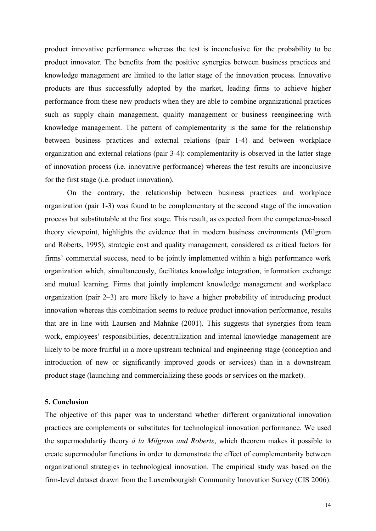product innovative performance whereas the test is inconclusive for the probability to be product innovator. The benefits from the positive synergies between business practices and knowledge management are limited to the latter stage of the innovation process. Innovative products are thus successfully adopted by the market, leading firms to achieve higher performance from these new products when they are able to combine organizational practices such as supply chain management, quality management or business reengineering with knowledge management. The pattern of complementarity is the same for the relationship between business practices and external relations (pair 1-4) and between workplace organization and external relations (pair 3-4): complementarity is observed in the latter stage of innovation process (i.e. innovative performance) whereas the test results are inconclusive for the first stage (i.e. product innovation).

On the contrary, the relationship between business practices and workplace organization (pair 1-3) was found to be complementary at the second stage of the innovation process but substitutable at the first stage. This result, as expected from the competence-based theory viewpoint, highlights the evidence that in modern business environments (Milgrom and Roberts, 1995), strategic cost and quality management, considered as critical factors for firms' commercial success, need to be jointly implemented within a high performance work organization which, simultaneously, facilitates knowledge integration, information exchange and mutual learning. Firms that jointly implement knowledge management and workplace organization (pair 2–3) are more likely to have a higher probability of introducing product innovation whereas this combination seems to reduce product innovation performance, results that are in line with Laursen and Mahnke (2001). This suggests that synergies from team work, employees' responsibilities, decentralization and internal knowledge management are likely to be more fruitful in a more upstream technical and engineering stage (conception and introduction of new or significantly improved goods or services) than in a downstream product stage (launching and commercializing these goods or services on the market).

#### **5. Conclusion**

The objective of this paper was to understand whether different organizational innovation practices are complements or substitutes for technological innovation performance. We used the supermodulartiy theory *à la Milgrom and Roberts*, which theorem makes it possible to create supermodular functions in order to demonstrate the effect of complementarity between organizational strategies in technological innovation. The empirical study was based on the firm-level dataset drawn from the Luxembourgish Community Innovation Survey (CIS 2006).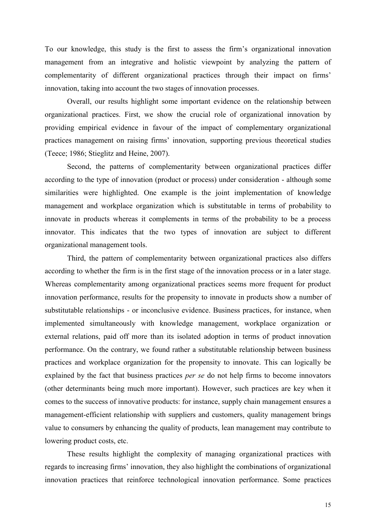To our knowledge, this study is the first to assess the firm's organizational innovation management from an integrative and holistic viewpoint by analyzing the pattern of complementarity of different organizational practices through their impact on firms' innovation, taking into account the two stages of innovation processes.

Overall, our results highlight some important evidence on the relationship between organizational practices. First, we show the crucial role of organizational innovation by providing empirical evidence in favour of the impact of complementary organizational practices management on raising firms' innovation, supporting previous theoretical studies (Teece; 1986; Stieglitz and Heine, 2007).

Second, the patterns of complementarity between organizational practices differ according to the type of innovation (product or process) under consideration - although some similarities were highlighted. One example is the joint implementation of knowledge management and workplace organization which is substitutable in terms of probability to innovate in products whereas it complements in terms of the probability to be a process innovator. This indicates that the two types of innovation are subject to different organizational management tools.

Third, the pattern of complementarity between organizational practices also differs according to whether the firm is in the first stage of the innovation process or in a later stage. Whereas complementarity among organizational practices seems more frequent for product innovation performance, results for the propensity to innovate in products show a number of substitutable relationships - or inconclusive evidence. Business practices, for instance, when implemented simultaneously with knowledge management, workplace organization or external relations, paid off more than its isolated adoption in terms of product innovation performance. On the contrary, we found rather a substitutable relationship between business practices and workplace organization for the propensity to innovate. This can logically be explained by the fact that business practices *per se* do not help firms to become innovators (other determinants being much more important). However, such practices are key when it comes to the success of innovative products: for instance, supply chain management ensures a management-efficient relationship with suppliers and customers, quality management brings value to consumers by enhancing the quality of products, lean management may contribute to lowering product costs, etc.

These results highlight the complexity of managing organizational practices with regards to increasing firms' innovation, they also highlight the combinations of organizational innovation practices that reinforce technological innovation performance. Some practices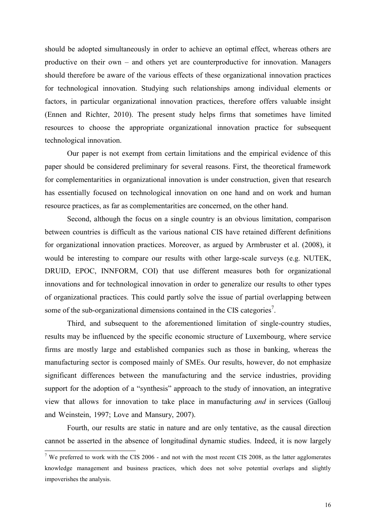should be adopted simultaneously in order to achieve an optimal effect, whereas others are productive on their own – and others yet are counterproductive for innovation. Managers should therefore be aware of the various effects of these organizational innovation practices for technological innovation. Studying such relationships among individual elements or factors, in particular organizational innovation practices, therefore offers valuable insight (Ennen and Richter, 2010). The present study helps firms that sometimes have limited resources to choose the appropriate organizational innovation practice for subsequent technological innovation.

Our paper is not exempt from certain limitations and the empirical evidence of this paper should be considered preliminary for several reasons. First, the theoretical framework for complementarities in organizational innovation is under construction, given that research has essentially focused on technological innovation on one hand and on work and human resource practices, as far as complementarities are concerned, on the other hand.

Second, although the focus on a single country is an obvious limitation, comparison between countries is difficult as the various national CIS have retained different definitions for organizational innovation practices. Moreover, as argued by Armbruster et al. (2008), it would be interesting to compare our results with other large-scale surveys (e.g. NUTEK, DRUID, EPOC, INNFORM, COI) that use different measures both for organizational innovations and for technological innovation in order to generalize our results to other types of organizational practices. This could partly solve the issue of partial overlapping between some of the sub-organizational dimensions contained in the CIS categories<sup>7</sup>.

Third, and subsequent to the aforementioned limitation of single-country studies, results may be influenced by the specific economic structure of Luxembourg, where service firms are mostly large and established companies such as those in banking, whereas the manufacturing sector is composed mainly of SMEs. Our results, however, do not emphasize significant differences between the manufacturing and the service industries, providing support for the adoption of a "synthesis" approach to the study of innovation, an integrative view that allows for innovation to take place in manufacturing *and* in services (Gallouj and Weinstein, 1997; Love and Mansury, 2007).

Fourth, our results are static in nature and are only tentative, as the causal direction cannot be asserted in the absence of longitudinal dynamic studies. Indeed, it is now largely

 $\overline{a}$ 

<sup>&</sup>lt;sup>7</sup> We preferred to work with the CIS 2006 - and not with the most recent CIS 2008, as the latter agglomerates knowledge management and business practices, which does not solve potential overlaps and slightly impoverishes the analysis.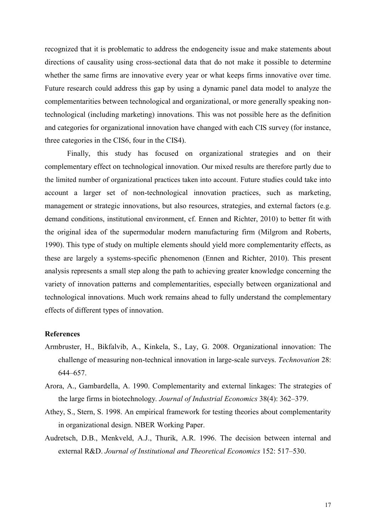recognized that it is problematic to address the endogeneity issue and make statements about directions of causality using cross-sectional data that do not make it possible to determine whether the same firms are innovative every year or what keeps firms innovative over time. Future research could address this gap by using a dynamic panel data model to analyze the complementarities between technological and organizational, or more generally speaking nontechnological (including marketing) innovations. This was not possible here as the definition and categories for organizational innovation have changed with each CIS survey (for instance, three categories in the CIS6, four in the CIS4).

Finally, this study has focused on organizational strategies and on their complementary effect on technological innovation. Our mixed results are therefore partly due to the limited number of organizational practices taken into account. Future studies could take into account a larger set of non-technological innovation practices, such as marketing, management or strategic innovations, but also resources, strategies, and external factors (e.g. demand conditions, institutional environment, cf. Ennen and Richter, 2010) to better fit with the original idea of the supermodular modern manufacturing firm (Milgrom and Roberts, 1990). This type of study on multiple elements should yield more complementarity effects, as these are largely a systems-specific phenomenon (Ennen and Richter, 2010). This present analysis represents a small step along the path to achieving greater knowledge concerning the variety of innovation patterns and complementarities, especially between organizational and technological innovations. Much work remains ahead to fully understand the complementary effects of different types of innovation.

#### **References**

- Armbruster, H., Bikfalvib, A., Kinkela, S., Lay, G. 2008. Organizational innovation: The challenge of measuring non-technical innovation in large-scale surveys. *Technovation* 28: 644–657.
- Arora, A., Gambardella, A. 1990. Complementarity and external linkages: The strategies of the large firms in biotechnology*. Journal of Industrial Economics* 38(4): 362–379.
- Athey, S., Stern, S. 1998. An empirical framework for testing theories about complementarity in organizational design. NBER Working Paper.
- Audretsch, D.B., Menkveld, A.J., Thurik, A.R. 1996. The decision between internal and external R&D. *Journal of Institutional and Theoretical Economics* 152: 517–530.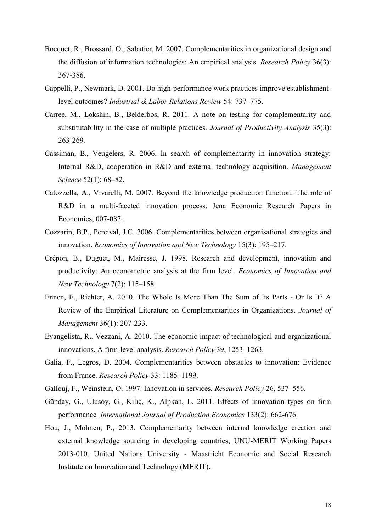- Bocquet, R., Brossard, O., Sabatier, M. 2007. Complementarities in organizational design and the diffusion of information technologies: An empirical analysis. *Research Policy* 36(3): 367-386.
- Cappelli, P., Newmark, D. 2001. Do high-performance work practices improve establishmentlevel outcomes? *Industrial & Labor Relations Review* 54: 737–775.
- Carree, M., Lokshin, B., Belderbos, R. 2011. A note on testing for complementarity and substitutability in the case of multiple practices. *Journal of Productivity Analysis* 35(3): 263-269.
- Cassiman, B., Veugelers, R. 2006. In search of complementarity in innovation strategy: Internal R&D, cooperation in R&D and external technology acquisition. *Management Science* 52(1): 68–82.
- Catozzella, A., Vivarelli, M. 2007. Beyond the knowledge production function: The role of R&D in a multi-faceted innovation process. Jena Economic Research Papers in Economics, 007-087.
- Cozzarin, B.P., Percival, J.C. 2006. Complementarities between organisational strategies and innovation. *Economics of Innovation and New Technology* 15(3): 195–217.
- Crépon, B., Duguet, M., Mairesse, J. 1998. Research and development, innovation and productivity: An econometric analysis at the firm level. *Economics of Innovation and New Technology* 7(2): 115–158.
- Ennen, E., Richter, A. 2010. The Whole Is More Than The Sum of Its Parts Or Is It? A Review of the Empirical Literature on Complementarities in Organizations. *Journal of Management* 36(1): 207-233.
- Evangelista, R., Vezzani, A. 2010. The economic impact of technological and organizational innovations. A firm-level analysis. *Research Policy* 39, 1253–1263.
- Galia, F., Legros, D. 2004. Complementarities between obstacles to innovation: Evidence from France. *Research Policy* 33: 1185–1199.
- Gallouj, F., Weinstein, O. 1997. Innovation in services. *Research Policy* 26, 537–556.
- Günday, G., Ulusoy, G., Kılıç, K., Alpkan, L. 2011. Effects of innovation types on firm performance*. International Journal of Production Economics* 133(2): 662-676.
- Hou, J., Mohnen, P., 2013. Complementarity between internal knowledge creation and external knowledge sourcing in developing countries, UNU-MERIT Working Papers 2013-010. United Nations University - Maastricht Economic and Social Research Institute on Innovation and Technology (MERIT).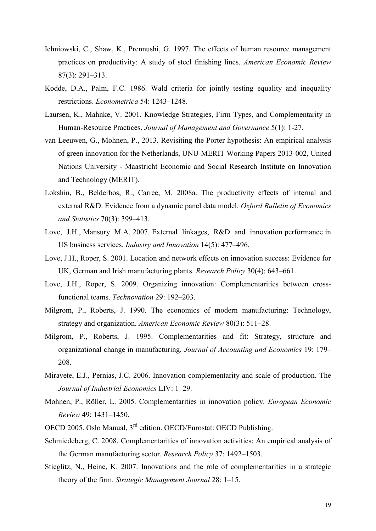- Ichniowski, C., Shaw, K., Prennushi, G. 1997. The effects of human resource management practices on productivity: A study of steel finishing lines. *American Economic Review* 87(3): 291–313.
- Kodde, D.A., Palm, F.C. 1986. Wald criteria for jointly testing equality and inequality restrictions. *Econometrica* 54: 1243–1248.
- Laursen, K., Mahnke, V. 2001. Knowledge Strategies, Firm Types, and Complementarity in Human-Resource Practices. *Journal of Management and Governance* 5(1): 1-27.
- van Leeuwen, G., Mohnen, P., 2013. Revisiting the Porter hypothesis: An empirical analysis of green innovation for the Netherlands, UNU-MERIT Working Papers 2013-002, United Nations University - Maastricht Economic and Social Research Institute on Innovation and Technology (MERIT).
- Lokshin, B., Belderbos, R., Carree, M. 2008a. The productivity effects of internal and external R&D. Evidence from a dynamic panel data model. *Oxford Bulletin of Economics and Statistics* 70(3): 399–413.
- Love, J.H., Mansury M.A. 2007. External linkages, R&D and innovation performance in US business services. *Industry and Innovation* 14(5): 477–496.
- Love, J.H., Roper, S. 2001. Location and network effects on innovation success: Evidence for UK, German and Irish manufacturing plants. *Research Policy* 30(4): 643–661.
- Love, J.H., Roper, S. 2009. Organizing innovation: Complementarities between crossfunctional teams. *Technovation* 29: 192–203.
- Milgrom, P., Roberts, J. 1990. The economics of modern manufacturing: Technology, strategy and organization. *American Economic Review* 80(3): 511–28.
- Milgrom, P., Roberts, J. 1995. Complementarities and fit: Strategy, structure and organizational change in manufacturing. *Journal of Accounting and Economics* 19: 179– 208.
- Miravete, E.J., Pernias, J.C. 2006. Innovation complementarity and scale of production. The *Journal of Industrial Economics* LIV: 1–29.
- Mohnen, P., Röller, L. 2005. Complementarities in innovation policy. *European Economic Review* 49: 1431–1450.
- OECD 2005. Oslo Manual, 3rd edition. OECD/Eurostat: OECD Publishing.
- Schmiedeberg, C. 2008. Complementarities of innovation activities: An empirical analysis of the German manufacturing sector. *Research Policy* 37: 1492–1503.
- Stieglitz, N., Heine, K. 2007. Innovations and the role of complementarities in a strategic theory of the firm. *Strategic Management Journal* 28: 1–15.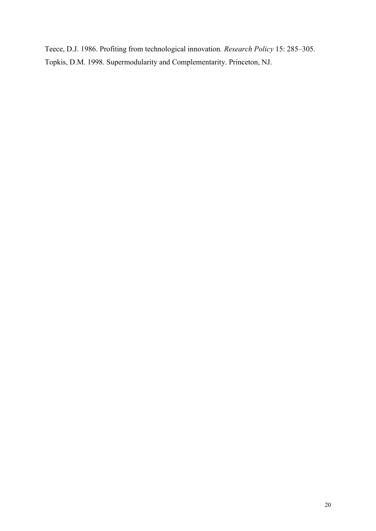Teece, D.J. 1986. Profiting from technological innovation*. Research Policy* 15: 285–305. Topkis, D.M. 1998. Supermodularity and Complementarity. Princeton, NJ.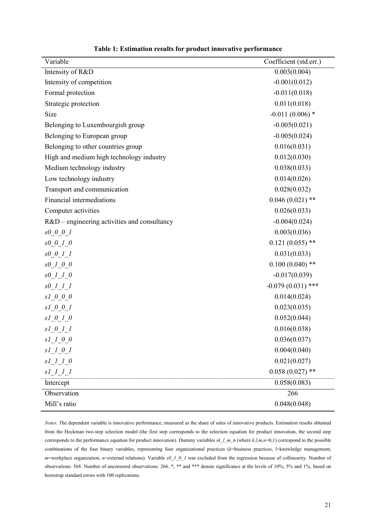| Variable                                                                      | Coefficient (std.err.) |
|-------------------------------------------------------------------------------|------------------------|
| Intensity of R&D                                                              | 0.003(0.004)           |
| Intensity of competition                                                      | $-0.001(0.012)$        |
| Formal protection                                                             | $-0.011(0.018)$        |
| Strategic protection                                                          | 0.011(0.018)           |
| Size                                                                          | $-0.011(0.006)$ *      |
| Belonging to Luxembourgish group                                              | $-0.005(0.021)$        |
| Belonging to European group                                                   | $-0.005(0.024)$        |
| Belonging to other countries group                                            | 0.016(0.031)           |
| High and medium high technology industry                                      | 0.012(0.030)           |
| Medium technology industry                                                    | 0.038(0.033)           |
| Low technology industry                                                       | 0.014(0.026)           |
| Transport and communication                                                   | 0.028(0.032)           |
| Financial intermediations                                                     | $0.046(0.021)$ **      |
| Computer activities                                                           | 0.026(0.033)           |
| R&D – engineering activities and consultancy                                  | $-0.004(0.024)$        |
| $s0$ 0 0 1                                                                    | 0.003(0.036)           |
| $s0$ 0 1 0                                                                    | $0.121(0.055)$ **      |
| $\begin{array}{ccccc} \text{S0} & \text{O} & \text{I} & \text{I} \end{array}$ | 0.031(0.033)           |
| $s0$ 1 0 0                                                                    | $0.100(0.040)$ **      |
| $s0$ 1 1 0                                                                    | $-0.017(0.039)$        |
| $s0$ 1 1 1                                                                    | $-0.079(0.031)$ ***    |
| $s1$ 0 0 0                                                                    | 0.014(0.024)           |
| $s1_0_0_1$                                                                    | 0.023(0.035)           |
| $s1$ 0 1 0                                                                    | 0.052(0.044)           |
| sl 0 1 1                                                                      | 0.016(0.038)           |
| $s1_0_0$                                                                      | 0.036(0.037)           |
| $sI$ 1 0 1                                                                    | 0.004(0.040)           |
| $sI$ $I$ $I$ $0$                                                              | 0.021(0.027)           |
| $s$ $l$ <sub><math>l</math></sub> $l$ <sub><math>l</math></sub> $l$           | $0.058(0.027)$ **      |
| Intercept                                                                     | 0.058(0.083)           |
| Observation                                                                   | 266                    |
| Mill's ratio                                                                  | 0.048(0.048)           |

**Table 1: Estimation results for product innovative performance**

*Notes*. The dependent variable is innovative performance, measured as the share of sales of innovative products. Estimation results obtained from the Heckman two-step selection model (the first step corresponds to the selection equation for product innovation, the second step corresponds to the performance equation for product innovation). Dummy variables *sk l m*<sub>n</sub> (where *k*,*l,m*,*n*=0,1) correspond to the possible combinations of the four binary variables, representing four organizational practices (*k*=business practices, *l*=knowledge management, *m*=workplace organization, *n*=external relations). Variable *s0\_1\_0\_1* was excluded from the regression because of collinearity. Number of observations: 568. Number of uncensored observations: 266. \*, \*\* and \*\*\* denote significance at the levels of 10%, 5% and 1%, based on bootstrap standard errors with 100 replications.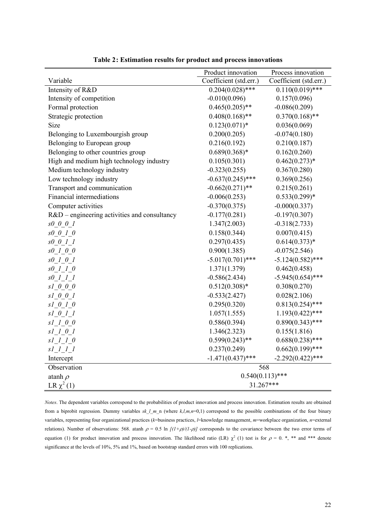|                                                | Product innovation     | Process innovation     |  |  |
|------------------------------------------------|------------------------|------------------------|--|--|
| Variable                                       | Coefficient (std.err.) | Coefficient (std.err.) |  |  |
| Intensity of R&D                               | $0.204(0.028)$ ***     | $0.110(0.019)$ ***     |  |  |
| Intensity of competition                       | $-0.010(0.096)$        | 0.157(0.096)           |  |  |
| Formal protection                              | $0.465(0.205)$ **      | $-0.086(0.209)$        |  |  |
| Strategic protection                           | $0.408(0.168)$ **      | $0.370(0.168)$ **      |  |  |
| Size                                           | $0.123(0.071)*$        | 0.036(0.069)           |  |  |
| Belonging to Luxembourgish group               | 0.200(0.205)           | $-0.074(0.180)$        |  |  |
| Belonging to European group                    | 0.216(0.192)           | 0.210(0.187)           |  |  |
| Belonging to other countries group             | $0.689(0.368)*$        | 0.162(0.260)           |  |  |
| High and medium high technology industry       | 0.105(0.301)           | $0.462(0.273)*$        |  |  |
| Medium technology industry                     | $-0.323(0.255)$        | 0.367(0.280)           |  |  |
| Low technology industry                        | $-0.637(0.245)$ ***    | 0.369(0.256)           |  |  |
| Transport and communication                    | $-0.662(0.271)$ **     | 0.215(0.261)           |  |  |
| Financial intermediations                      | $-0.006(0.253)$        | $0.533(0.299)*$        |  |  |
| Computer activities                            | $-0.370(0.375)$        | $-0.000(0.337)$        |  |  |
| $R&D$ – engineering activities and consultancy | $-0.177(0.281)$        | $-0.197(0.307)$        |  |  |
| s0 0 0 1                                       | 1.347(2.003)           | $-0.318(2.733)$        |  |  |
| $s0$ 0 1 0                                     | 0.158(0.344)           | 0.007(0.415)           |  |  |
| $s0$ 0 1 1                                     | 0.297(0.435)           | $0.614(0.373)*$        |  |  |
| $s0$ 1 0 0                                     | 0.900(1.385)           | $-0.075(2.546)$        |  |  |
| $s0$ 1 0 1                                     | $-5.017(0.701)$ ***    | $-5.124(0.582)$ ***    |  |  |
| $s0$ 1 1 0                                     | 1.371(1.379)           | 0.462(0.458)           |  |  |
| $s0$ 1 1 1                                     | $-0.586(2.434)$        | $-5.945(0.654)$ ***    |  |  |
| $s1$ 0 0 0                                     | $0.512(0.308)*$        | 0.308(0.270)           |  |  |
| $sI$ 0 0 1                                     | $-0.533(2.427)$        | 0.028(2.106)           |  |  |
| $s1_0_1_0$                                     | 0.295(0.320)           | $0.813(0.254)$ ***     |  |  |
| $s$ $1_0$ $1_1$                                | 1.057(1.555)           | $1.193(0.422)$ ***     |  |  |
| $s1_1_0_0$                                     | 0.586(0.394)           | $0.890(0.343)$ ***     |  |  |
| $sI_1_0_1$                                     | 1.346(2.323)           | 0.155(1.816)           |  |  |
| $s1_l_l_l_0$                                   | $0.599(0.243)$ **      | $0.688(0.238)$ ***     |  |  |
| $s$ $l_l$ $l_l$ $l_l$                          | 0.237(0.249)           | $0.662(0.199)$ ***     |  |  |
| Intercept                                      | $-1.471(0.437)$ ***    | $-2.292(0.422)$ ***    |  |  |
| Observation                                    | 568                    |                        |  |  |
| atanh $\rho$                                   | $0.540(0.113)$ ***     |                        |  |  |
| LR $\chi^2(1)$                                 | 31.267***              |                        |  |  |

**Table 2: Estimation results for product and process innovations**

*Notes*. The dependent variables correspond to the probabilities of product innovation and process innovation. Estimation results are obtained from a biprobit regression. Dummy variables *sk\_l\_m\_*n (where *k,l,m,n*=0,1) correspond to the possible combinations of the four binary variables, representing four organizational practices (*k*=business practices, *l*=knowledge management, *m*=workplace organization, *n*=external relations). Number of observations: 568. atanh  $\rho = 0.5 \ln \left[ (1+\rho)/(1-\rho) \right]$  corresponds to the covariance between the two error terms of equation (1) for product innovation and process innovation. The likelihood ratio (LR)  $\chi^2$  (1) test is for  $\rho = 0$ . \*, \*\* and \*\*\* denote significance at the levels of 10%, 5% and 1%, based on bootstrap standard errors with 100 replications.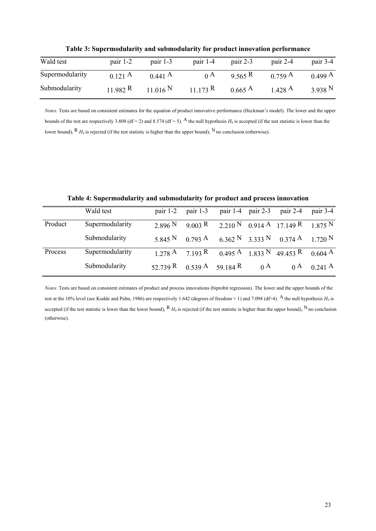| Wald test       | pair 1-2          | pair $1-3$        | pair $1-4$  | pair $2-3$        | pair $2-4$        | pair 3-4 |
|-----------------|-------------------|-------------------|-------------|-------------------|-------------------|----------|
| Supermodularity | $0.121 \text{ A}$ | $0.441 \text{ A}$ | $0^{\rm A}$ | 9.565 R           | $0.759 \text{ A}$ | 0.499 A  |
| Submodularity   | 11.982 R          | 11.016 N          | 11.173 R    | $0.665 \text{ A}$ | 1.428 A           | 3.938 N  |

**Table 3: Supermodularity and submodularity for product innovation performance**

*Notes.* Tests are based on consistent estimates for the equation of product innovative performance (Heckman's model). The lower and the upper bounds of the test are respectively 3.808 (df = 2) and 8.574 (df = 5). A the null hypothesis  $H_0$  is accepted (if the test statistic is lower than the lower bound),  $R H_0$  is rejected (if the test statistic is higher than the upper bound),  $N$  no conclusion (otherwise).

|         | Wald test       | pair $1-2$                    | pair $1-3$ | pair $1-4$ pair $2-3$ | pair 2-4                                                                                                     | pair 3-4               |
|---------|-----------------|-------------------------------|------------|-----------------------|--------------------------------------------------------------------------------------------------------------|------------------------|
| Product | Supermodularity | 2.896 N                       | 9.003 R    |                       | 2.210 N 0.914 A 17.149 R 1.875 N                                                                             |                        |
|         | Submodularity   | 5.845 <sup>N</sup>            | 0.793 A    |                       | 6.362 N 3.333 N 0.374 A 1.720 N                                                                              |                        |
| Process | Supermodularity |                               |            |                       | $1.278 \text{ A}$ $7.193 \text{ R}$ $0.495 \text{ A}$ $1.833 \text{ N}$ $49.453 \text{ R}$ $0.604 \text{ A}$ |                        |
|         | Submodularity   | 52.739 R $0.539$ A $59.184$ R |            | $0^{\text{A}}$        |                                                                                                              | $0^{\text{A}}$ 0.241 A |

**Table 4: Supermodularity and submodularity for product and process innovation**

*Notes.* Tests are based on consistent estimates of product and process innovations (biprobit regression). The lower and the upper bounds of the test at the 10% level (see Kodde and Palm, 1986) are respectively 1.642 (degrees of freedom = 1) and 7.094 (df=4). A the null hypothesis  $H_0$  is accepted (if the test statistic is lower than the lower bound),  $R$  *H<sub>0</sub>* is rejected (if the test statistic is higher than the upper bound), <sup>N</sup> no conclusion (otherwise).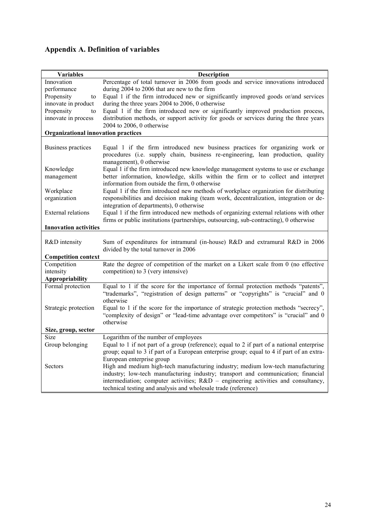## **Appendix A. Definition of variables**

| <b>Variables</b>                           | <b>Description</b>                                                                                                                                                                           |
|--------------------------------------------|----------------------------------------------------------------------------------------------------------------------------------------------------------------------------------------------|
| Innovation                                 | Percentage of total turnover in 2006 from goods and service innovations introduced                                                                                                           |
| performance                                | during 2004 to 2006 that are new to the firm                                                                                                                                                 |
| Propensity<br>to                           | Equal 1 if the firm introduced new or significantly improved goods or/and services                                                                                                           |
| innovate in product                        | during the three years 2004 to 2006, 0 otherwise                                                                                                                                             |
| Propensity<br>to                           | Equal 1 if the firm introduced new or significantly improved production process,                                                                                                             |
| innovate in process                        | distribution methods, or support activity for goods or services during the three years                                                                                                       |
| <b>Organizational innovation practices</b> | 2004 to 2006, 0 otherwise                                                                                                                                                                    |
|                                            |                                                                                                                                                                                              |
| Business practices                         | Equal 1 if the firm introduced new business practices for organizing work or<br>procedures (i.e. supply chain, business re-engineering, lean production, quality<br>management), 0 otherwise |
| Knowledge                                  | Equal 1 if the firm introduced new knowledge management systems to use or exchange                                                                                                           |
| management                                 | better information, knowledge, skills within the firm or to collect and interpret<br>information from outside the firm, 0 otherwise                                                          |
| Workplace                                  | Equal 1 if the firm introduced new methods of workplace organization for distributing                                                                                                        |
| organization                               | responsibilities and decision making (team work, decentralization, integration or de-                                                                                                        |
|                                            | integration of departments), 0 otherwise                                                                                                                                                     |
| <b>External relations</b>                  | Equal 1 if the firm introduced new methods of organizing external relations with other                                                                                                       |
|                                            | firms or public institutions (partnerships, outsourcing, sub-contracting), 0 otherwise                                                                                                       |
| <b>Innovation activities</b>               |                                                                                                                                                                                              |
| R&D intensity                              | Sum of expenditures for intramural (in-house) R&D and extramural R&D in 2006<br>divided by the total turnover in 2006                                                                        |
| <b>Competition context</b>                 |                                                                                                                                                                                              |
| Competition                                | Rate the degree of competition of the market on a Likert scale from 0 (no effective                                                                                                          |
| intensity                                  | competition) to 3 (very intensive)                                                                                                                                                           |
| Appropriability                            |                                                                                                                                                                                              |
| Formal protection                          | Equal to 1 if the score for the importance of formal protection methods "patents",<br>"trademarks", "registration of design patterns" or "copyrights" is "crucial" and 0<br>otherwise        |
| Strategic protection                       | Equal to 1 if the score for the importance of strategic protection methods "secrecy",                                                                                                        |
|                                            | "complexity of design" or "lead-time advantage over competitors" is "crucial" and 0                                                                                                          |
|                                            | otherwise                                                                                                                                                                                    |
| Size, group, sector                        |                                                                                                                                                                                              |
| Size                                       | Logarithm of the number of employees                                                                                                                                                         |
| Group belonging                            | Equal to 1 if not part of a group (reference); equal to 2 if part of a national enterprise                                                                                                   |
|                                            | group; equal to 3 if part of a European enterprise group; equal to 4 if part of an extra-                                                                                                    |
|                                            | European enterprise group                                                                                                                                                                    |
| Sectors                                    | High and medium high-tech manufacturing industry; medium low-tech manufacturing                                                                                                              |
|                                            | industry; low-tech manufacturing industry; transport and communication; financial                                                                                                            |
|                                            | intermediation; computer activities; R&D – engineering activities and consultancy,                                                                                                           |
|                                            | technical testing and analysis and wholesale trade (reference)                                                                                                                               |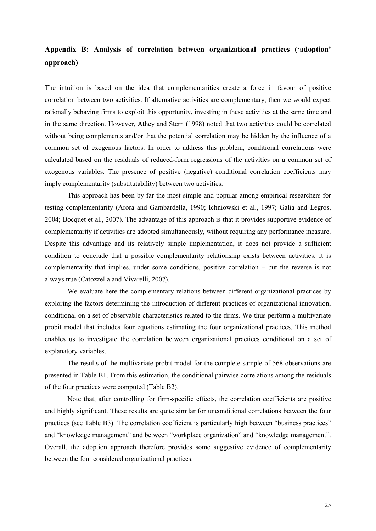### **Appendix B: Analysis of correlation between organizational practices ('adoption' approach)**

The intuition is based on the idea that complementarities create a force in favour of positive correlation between two activities. If alternative activities are complementary, then we would expect rationally behaving firms to exploit this opportunity, investing in these activities at the same time and in the same direction. However, Athey and Stern (1998) noted that two activities could be correlated without being complements and/or that the potential correlation may be hidden by the influence of a common set of exogenous factors. In order to address this problem, conditional correlations were calculated based on the residuals of reduced-form regressions of the activities on a common set of exogenous variables. The presence of positive (negative) conditional correlation coefficients may imply complementarity (substitutability) between two activities.

This approach has been by far the most simple and popular among empirical researchers for testing complementarity (Arora and Gambardella, 1990; Ichniowski et al., 1997; Galia and Legros, 2004; Bocquet et al., 2007). The advantage of this approach is that it provides supportive evidence of complementarity if activities are adopted simultaneously, without requiring any performance measure. Despite this advantage and its relatively simple implementation, it does not provide a sufficient condition to conclude that a possible complementarity relationship exists between activities. It is complementarity that implies, under some conditions, positive correlation – but the reverse is not always true (Catozzella and Vivarelli, 2007).

We evaluate here the complementary relations between different organizational practices by exploring the factors determining the introduction of different practices of organizational innovation, conditional on a set of observable characteristics related to the firms. We thus perform a multivariate probit model that includes four equations estimating the four organizational practices. This method enables us to investigate the correlation between organizational practices conditional on a set of explanatory variables.

The results of the multivariate probit model for the complete sample of 568 observations are presented in Table B1. From this estimation, the conditional pairwise correlations among the residuals of the four practices were computed (Table B2).

Note that, after controlling for firm-specific effects, the correlation coefficients are positive and highly significant. These results are quite similar for unconditional correlations between the four practices (see Table B3). The correlation coefficient is particularly high between "business practices" and "knowledge management" and between "workplace organization" and "knowledge management". Overall, the adoption approach therefore provides some suggestive evidence of complementarity between the four considered organizational practices.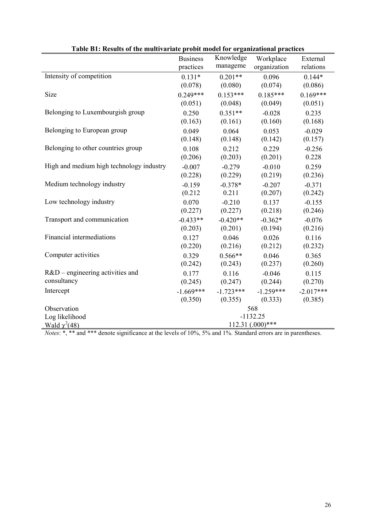| Table DT. Results of the multivaliate probit model for organizational practices<br>Knowledge<br><b>Business</b> |                  |             |                           |                       |  |  |
|-----------------------------------------------------------------------------------------------------------------|------------------|-------------|---------------------------|-----------------------|--|--|
|                                                                                                                 | practices        | manageme    | Workplace<br>organization | External<br>relations |  |  |
|                                                                                                                 |                  |             |                           |                       |  |  |
| Intensity of competition                                                                                        | $0.131*$         | $0.201**$   | 0.096                     | $0.144*$              |  |  |
|                                                                                                                 | (0.078)          | (0.080)     | (0.074)                   | (0.086)               |  |  |
| Size                                                                                                            | $0.249***$       | $0.153***$  | $0.185***$                | $0.169***$            |  |  |
|                                                                                                                 | (0.051)          | (0.048)     | (0.049)                   | (0.051)               |  |  |
| Belonging to Luxembourgish group                                                                                | 0.250            | $0.351**$   | $-0.028$                  | 0.235                 |  |  |
|                                                                                                                 | (0.163)          | (0.161)     | (0.160)                   | (0.168)               |  |  |
| Belonging to European group                                                                                     | 0.049            | 0.064       | 0.053                     | $-0.029$              |  |  |
|                                                                                                                 | (0.148)          | (0.148)     | (0.142)                   | (0.157)               |  |  |
| Belonging to other countries group                                                                              | 0.108            | 0.212       | 0.229                     | $-0.256$              |  |  |
|                                                                                                                 | (0.206)          | (0.203)     | (0.201)                   | 0.228                 |  |  |
| High and medium high technology industry                                                                        | $-0.007$         | $-0.279$    | $-0.010$                  | 0.259                 |  |  |
|                                                                                                                 | (0.228)          | (0.229)     | (0.219)                   | (0.236)               |  |  |
| Medium technology industry                                                                                      | $-0.159$         | $-0.378*$   | $-0.207$                  | $-0.371$              |  |  |
|                                                                                                                 | (0.212)          | 0.211       | (0.207)                   | (0.242)               |  |  |
| Low technology industry                                                                                         | 0.070            | $-0.210$    | 0.137                     | $-0.155$              |  |  |
|                                                                                                                 | (0.227)          | (0.227)     | (0.218)                   | (0.246)               |  |  |
| Transport and communication                                                                                     | $-0.433**$       | $-0.420**$  | $-0.362*$                 | $-0.076$              |  |  |
|                                                                                                                 | (0.203)          | (0.201)     | (0.194)                   | (0.216)               |  |  |
| Financial intermediations                                                                                       | 0.127            | 0.046       | 0.026                     | 0.116                 |  |  |
|                                                                                                                 | (0.220)          | (0.216)     | (0.212)                   | (0.232)               |  |  |
| Computer activities                                                                                             | 0.329            | $0.566**$   | 0.046                     | 0.365                 |  |  |
|                                                                                                                 | (0.242)          | (0.243)     | (0.237)                   | (0.260)               |  |  |
| R&D – engineering activities and                                                                                | 0.177            | 0.116       | $-0.046$                  | 0.115                 |  |  |
| consultancy                                                                                                     | (0.245)          | (0.247)     | (0.244)                   | (0.270)               |  |  |
| Intercept                                                                                                       | $-1.669***$      | $-1.723***$ | $-1.259***$               | $-2.017***$           |  |  |
|                                                                                                                 | (0.350)          | (0.355)     | (0.333)                   | (0.385)               |  |  |
| Observation                                                                                                     |                  |             | 568                       |                       |  |  |
| Log likelihood                                                                                                  | $-1132.25$       |             |                           |                       |  |  |
| Wald $\chi^2(48)$                                                                                               | 112.31 (.000)*** |             |                           |                       |  |  |

| Table B1: Results of the multivariate probit model for organizational practices |  |  |
|---------------------------------------------------------------------------------|--|--|
|                                                                                 |  |  |

*Notes*: \*, \*\* and \*\*\* denote significance at the levels of 10%, 5% and 1%. Standard errors are in parentheses.